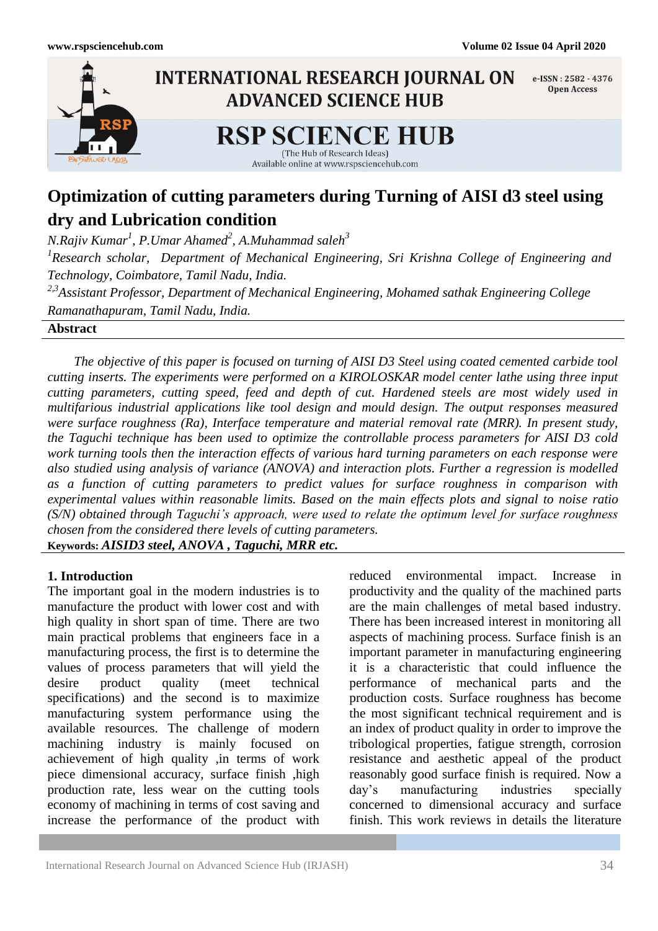

# **Optimization of cutting parameters during Turning of AISI d3 steel using dry and Lubrication condition**

*N.Rajiv Kumar<sup>1</sup> , P.Umar Ahamed<sup>2</sup> , A.Muhammad saleh<sup>3</sup> 1 Research scholar, Department of Mechanical Engineering, Sri Krishna College of Engineering and Technology, Coimbatore, Tamil Nadu, India. 2,3Assistant Professor, Department of Mechanical Engineering, Mohamed sathak Engineering College Ramanathapuram, Tamil Nadu, India.*

**Abstract**

 *The objective of this paper is focused on turning of AISI D3 Steel using coated cemented carbide tool cutting inserts. The experiments were performed on a KIROLOSKAR model center lathe using three input cutting parameters, cutting speed, feed and depth of cut. Hardened steels are most widely used in multifarious industrial applications like tool design and mould design. The output responses measured were surface roughness (Ra), Interface temperature and material removal rate (MRR). In present study, the Taguchi technique has been used to optimize the controllable process parameters for AISI D3 cold work turning tools then the interaction effects of various hard turning parameters on each response were also studied using analysis of variance (ANOVA) and interaction plots. Further a regression is modelled as a function of cutting parameters to predict values for surface roughness in comparison with experimental values within reasonable limits. Based on the main effects plots and signal to noise ratio (S/N) obtained through Taguchi's approach, were used to relate the optimum level for surface roughness chosen from the considered there levels of cutting parameters.* **Keywords:** *AISID3 steel, ANOVA , Taguchi, MRR etc.*

### **1. Introduction**

The important goal in the modern industries is to manufacture the product with lower cost and with high quality in short span of time. There are two main practical problems that engineers face in a manufacturing process, the first is to determine the values of process parameters that will yield the desire product quality (meet technical specifications) and the second is to maximize manufacturing system performance using the available resources. The challenge of modern machining industry is mainly focused on achievement of high quality ,in terms of work piece dimensional accuracy, surface finish ,high production rate, less wear on the cutting tools economy of machining in terms of cost saving and increase the performance of the product with

reduced environmental impact. Increase in productivity and the quality of the machined parts are the main challenges of metal based industry. There has been increased interest in monitoring all aspects of machining process. Surface finish is an important parameter in manufacturing engineering it is a characteristic that could influence the performance of mechanical parts and the production costs. Surface roughness has become the most significant technical requirement and is an index of product quality in order to improve the tribological properties, fatigue strength, corrosion resistance and aesthetic appeal of the product reasonably good surface finish is required. Now a day's manufacturing industries specially concerned to dimensional accuracy and surface finish. This work reviews in details the literature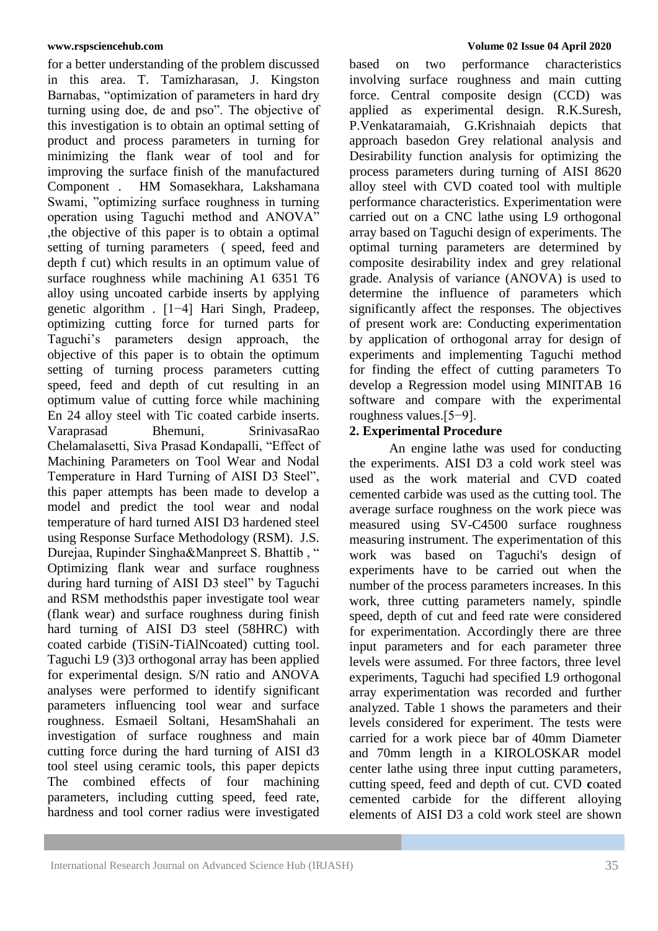for a better understanding of the problem discussed in this area. T. Tamizharasan, J. Kingston Barnabas, "optimization of parameters in hard dry turning using doe, de and pso". The objective of this investigation is to obtain an optimal setting of product and process parameters in turning for minimizing the flank wear of tool and for improving the surface finish of the manufactured Component . HM Somasekhara, Lakshamana Swami, "optimizing surface roughness in turning operation using Taguchi method and ANOVA" ,the objective of this paper is to obtain a optimal setting of turning parameters ( speed, feed and depth f cut) which results in an optimum value of surface roughness while machining A1 6351 T6 alloy using uncoated carbide inserts by applying genetic algorithm . [1−4] Hari Singh, Pradeep, optimizing cutting force for turned parts for Taguchi's parameters design approach, the objective of this paper is to obtain the optimum setting of turning process parameters cutting speed, feed and depth of cut resulting in an optimum value of cutting force while machining En 24 alloy steel with Tic coated carbide inserts. Varaprasad Bhemuni, SrinivasaRao Chelamalasetti, Siva Prasad Kondapalli, "Effect of Machining Parameters on Tool Wear and Nodal Temperature in Hard Turning of AISI D3 Steel", this paper attempts has been made to develop a model and predict the tool wear and nodal temperature of hard turned AISI D3 hardened steel using Response Surface Methodology (RSM). J.S. Durejaa, Rupinder Singha&Manpreet S. Bhattib , " Optimizing flank wear and surface roughness during hard turning of AISI D3 steel" by Taguchi and RSM methodsthis paper investigate tool wear (flank wear) and surface roughness during finish hard turning of AISI D3 steel (58HRC) with coated carbide (TiSiN-TiAlNcoated) cutting tool. Taguchi L9 (3)3 orthogonal array has been applied for experimental design. S/N ratio and ANOVA analyses were performed to identify significant parameters influencing tool wear and surface roughness. Esmaeil Soltani, HesamShahali an investigation of surface roughness and main cutting force during the hard turning of AISI d3 tool steel using ceramic tools, this paper depicts The combined effects of four machining parameters, including cutting speed, feed rate, hardness and tool corner radius were investigated

based on two performance characteristics involving surface roughness and main cutting force. Central composite design (CCD) was applied as experimental design. R.K.Suresh, P.Venkataramaiah, G.Krishnaiah depicts that approach basedon Grey relational analysis and Desirability function analysis for optimizing the process parameters during turning of AISI 8620 alloy steel with CVD coated tool with multiple performance characteristics. Experimentation were carried out on a CNC lathe using L9 orthogonal array based on Taguchi design of experiments. The optimal turning parameters are determined by composite desirability index and grey relational grade. Analysis of variance (ANOVA) is used to determine the influence of parameters which significantly affect the responses. The objectives of present work are: Conducting experimentation by application of orthogonal array for design of experiments and implementing Taguchi method for finding the effect of cutting parameters To develop a Regression model using MINITAB 16 software and compare with the experimental roughness values.[5−9].

# **2. Experimental Procedure**

An engine lathe was used for conducting the experiments. AISI D3 a cold work steel was used as the work material and CVD coated cemented carbide was used as the cutting tool. The average surface roughness on the work piece was measured using SV-C4500 surface roughness measuring instrument. The experimentation of this work was based on Taguchi's design of experiments have to be carried out when the number of the process parameters increases. In this work, three cutting parameters namely, spindle speed, depth of cut and feed rate were considered for experimentation. Accordingly there are three input parameters and for each parameter three levels were assumed. For three factors, three level experiments, Taguchi had specified L9 orthogonal array experimentation was recorded and further analyzed. Table 1 shows the parameters and their levels considered for experiment. The tests were carried for a work piece bar of 40mm Diameter and 70mm length in a KIROLOSKAR model center lathe using three input cutting parameters, cutting speed, feed and depth of cut. CVD **c**oated cemented carbide for the different alloying elements of AISI D3 a cold work steel are shown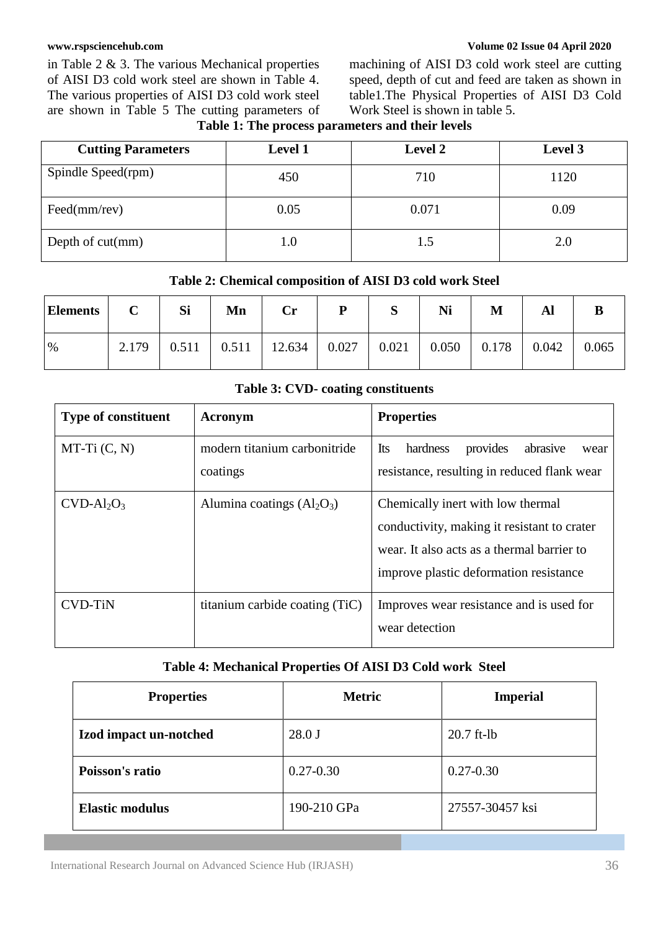in Table 2 & 3. The various Mechanical properties of AISI D3 cold work steel are shown in Table 4. The various properties of AISI D3 cold work steel are shown in Table 5 The cutting parameters of

#### **[www.rspsciencehub.com](http://www.rspsciencehub.com/) Volume 02 Issue 04 April 2020**

machining of AISI D3 cold work steel are cutting speed, depth of cut and feed are taken as shown in table1.The Physical Properties of AISI D3 Cold Work Steel is shown in table 5.

**Table 1: The process parameters and their levels**

| <b>Cutting Parameters</b>    | <b>Level 1</b> | <b>Level 2</b> | Level 3 |
|------------------------------|----------------|----------------|---------|
| Spindle Speed(rpm)           | 450            | 710            | 1120    |
| $\text{Feed}(mm/\text{rev})$ | 0.05           | 0.071          | 0.09    |
| Depth of $cut(mm)$           |                | 1.5            | 2.0     |

| Table 2: Chemical composition of AISI D3 cold work Steel |  |
|----------------------------------------------------------|--|
|----------------------------------------------------------|--|

| <b>Elements</b> | $\mathbf C$ | Si | Mn | $\mathbf{Cr}$                                                        | P | S | Ni | M |       |       |
|-----------------|-------------|----|----|----------------------------------------------------------------------|---|---|----|---|-------|-------|
| $\%$            | 2.179       |    |    | $0.511$   $0.511$   $12.634$   $0.027$   $0.021$   $0.050$   $0.178$ |   |   |    |   | 0.042 | 0.065 |

### **Table 3: CVD- coating constituents**

| <b>Type of constituent</b> | Acronym                                  | <b>Properties</b>                                                                                                                                                        |
|----------------------------|------------------------------------------|--------------------------------------------------------------------------------------------------------------------------------------------------------------------------|
| $MT-Ti(C, N)$              | modern titanium carbonitride<br>coatings | Its<br>hardness<br>provides<br>abrasive<br>wear<br>resistance, resulting in reduced flank wear                                                                           |
| $CVD-Al2O3$                | Alumina coatings $(Al2O3)$               | Chemically inert with low thermal<br>conductivity, making it resistant to crater<br>wear. It also acts as a thermal barrier to<br>improve plastic deformation resistance |
| <b>CVD-TiN</b>             | titanium carbide coating (TiC)           | Improves wear resistance and is used for<br>wear detection                                                                                                               |

### **Table 4: Mechanical Properties Of AISI D3 Cold work Steel**

| <b>Properties</b>      | <b>Metric</b> | <b>Imperial</b> |
|------------------------|---------------|-----------------|
| Izod impact un-notched | $28.0$ J      | $20.7$ ft-lb    |
| Poisson's ratio        | $0.27 - 0.30$ | $0.27 - 0.30$   |
| <b>Elastic modulus</b> | 190-210 GPa   | 27557-30457 ksi |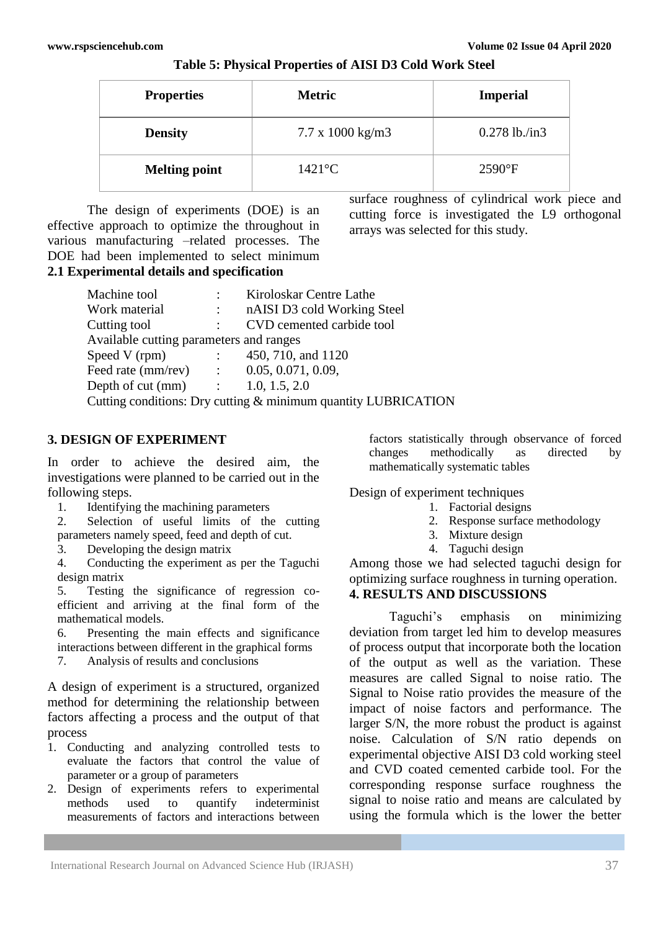| <b>Properties</b>    | <b>Metric</b>                  | <b>Imperial</b> |
|----------------------|--------------------------------|-----------------|
| <b>Density</b>       | $7.7 \times 1000 \text{ kg/m}$ | $0.278$ lb./in3 |
| <b>Melting point</b> | $1421$ °C                      | $2590$ °F       |

**Table 5: Physical Properties of AISI D3 Cold Work Steel**

The design of experiments (DOE) is an effective approach to optimize the throughout in various manufacturing –related processes. The DOE had been implemented to select minimum **2.1 Experimental details and specification**

surface roughness of cylindrical work piece and cutting force is investigated the L9 orthogonal arrays was selected for this study.

| Machine tool                                                                                         |                           | Kiroloskar Centre Lathe                                        |
|------------------------------------------------------------------------------------------------------|---------------------------|----------------------------------------------------------------|
| Work material                                                                                        | $\mathbb{Z}^{\mathbb{Z}}$ | nAISI D3 cold Working Steel                                    |
| Cutting tool                                                                                         |                           | CVD cemented carbide tool                                      |
| Available cutting parameters and ranges                                                              |                           |                                                                |
| Speed V (rpm)<br>$\mathcal{L}^{\text{max}}_{\text{max}}$ and $\mathcal{L}^{\text{max}}_{\text{max}}$ |                           | 450, 710, and 1120                                             |
| Feed rate (mm/rev) : $0.05, 0.071, 0.09$ ,                                                           |                           |                                                                |
| Depth of cut (mm) $\qquad \qquad$ : $\qquad 1.0, 1.5, 2.0$                                           |                           |                                                                |
|                                                                                                      |                           | Cutting conditions: Dry cutting & minimum quantity LUBRICATION |
|                                                                                                      |                           |                                                                |

# **3. DESIGN OF EXPERIMENT**

In order to achieve the desired aim, the investigations were planned to be carried out in the following steps.

1. Identifying the machining parameters

2. Selection of useful limits of the cutting parameters namely speed, feed and depth of cut.

3. Developing the design matrix

4. Conducting the experiment as per the Taguchi design matrix

5. Testing the significance of regression coefficient and arriving at the final form of the mathematical models.

6. Presenting the main effects and significance interactions between different in the graphical forms

7. Analysis of results and conclusions

A design of experiment is a structured, organized method for determining the relationship between factors affecting a process and the output of that process

- 1. Conducting and analyzing controlled tests to evaluate the factors that control the value of parameter or a group of parameters
- 2. Design of experiments refers to experimental methods used to quantify indeterminist measurements of factors and interactions between

factors statistically through observance of forced changes methodically as directed by mathematically systematic tables

Design of experiment techniques

- 1. Factorial designs
- 2. Response surface methodology
- 3. Mixture design
- 4. Taguchi design

Among those we had selected taguchi design for optimizing surface roughness in turning operation. **4. RESULTS AND DISCUSSIONS**

Taguchi's emphasis on minimizing deviation from target led him to develop measures of process output that incorporate both the location of the output as well as the variation. These measures are called Signal to noise ratio. The Signal to Noise ratio provides the measure of the impact of noise factors and performance. The larger S/N, the more robust the product is against noise. Calculation of S/N ratio depends on experimental objective AISI D3 cold working steel and CVD coated cemented carbide tool. For the corresponding response surface roughness the signal to noise ratio and means are calculated by using the formula which is the lower the better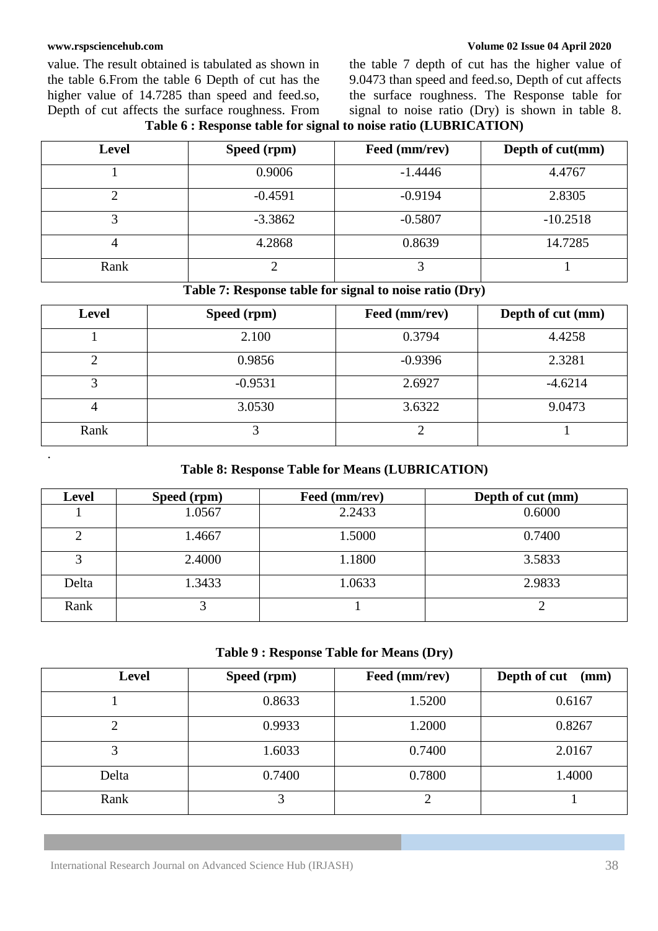.

value. The result obtained is tabulated as shown in the table 6.From the table 6 Depth of cut has the higher value of 14.7285 than speed and feed.so, Depth of cut affects the surface roughness. From

**[www.rspsciencehub.com](http://www.rspsciencehub.com/) Volume 02 Issue 04 April 2020**

the table 7 depth of cut has the higher value of 9.0473 than speed and feed.so, Depth of cut affects the surface roughness. The Response table for signal to noise ratio (Dry) is shown in table 8.

|  |  |  | Table 6 : Response table for signal to noise ratio (LUBRICATION) |
|--|--|--|------------------------------------------------------------------|
|--|--|--|------------------------------------------------------------------|

| <b>Level</b> | Speed (rpm) | Feed (mm/rev) | Depth of cut(mm) |
|--------------|-------------|---------------|------------------|
|              | 0.9006      | $-1.4446$     | 4.4767           |
|              | $-0.4591$   | $-0.9194$     | 2.8305           |
|              | $-3.3862$   | $-0.5807$     | $-10.2518$       |
|              | 4.2868      | 0.8639        | 14.7285          |
| Rank         |             |               |                  |

**Table 7: Response table for signal to noise ratio (Dry)**

| <b>Level</b> | Speed (rpm) | Feed (mm/rev) | Depth of cut (mm) |
|--------------|-------------|---------------|-------------------|
|              | 2.100       | 0.3794        | 4.4258            |
| ⌒            | 0.9856      | $-0.9396$     | 2.3281            |
| 3            | $-0.9531$   | 2.6927        | $-4.6214$         |
| 4            | 3.0530      | 3.6322        | 9.0473            |
| Rank         |             |               |                   |

# **Table 8: Response Table for Means (LUBRICATION)**

| <b>Level</b> | Speed (rpm) | Feed (mm/rev) | Depth of cut (mm) |
|--------------|-------------|---------------|-------------------|
|              | 1.0567      | 2.2433        | 0.6000            |
| 2            | 1.4667      | 1.5000        | 0.7400            |
| 3            | 2.4000      | 1.1800        | 3.5833            |
| Delta        | 1.3433      | 1.0633        | 2.9833            |
| Rank         | ⌒           |               |                   |

### **Table 9 : Response Table for Means (Dry)**

| <b>Level</b> | Speed (rpm) | Feed (mm/rev) | Depth of cut<br>(mm) |
|--------------|-------------|---------------|----------------------|
|              | 0.8633      | 1.5200        | 0.6167               |
| 2            | 0.9933      | 1.2000        | 0.8267               |
| 3            | 1.6033      | 0.7400        | 2.0167               |
| Delta        | 0.7400      | 0.7800        | 1.4000               |
| Rank         | 3           | ∍             |                      |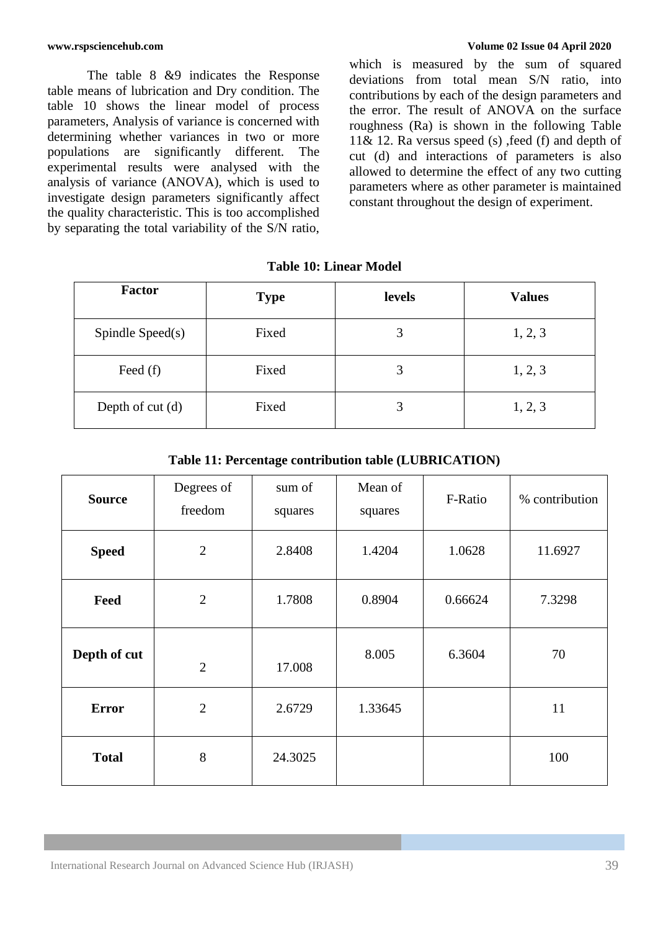The table 8 &9 indicates the Response table means of lubrication and Dry condition. The table 10 shows the linear model of process parameters, Analysis of variance is concerned with determining whether variances in two or more populations are significantly different. The experimental results were analysed with the analysis of variance (ANOVA), which is used to investigate design parameters significantly affect the quality characteristic. This is too accomplished by separating the total variability of the S/N ratio,

**[www.rspsciencehub.com](http://www.rspsciencehub.com/) Volume 02 Issue 04 April 2020**

which is measured by the sum of squared deviations from total mean S/N ratio, into contributions by each of the design parameters and the error. The result of ANOVA on the surface roughness (Ra) is shown in the following Table 11& 12. Ra versus speed (s) , feed (f) and depth of cut (d) and interactions of parameters is also allowed to determine the effect of any two cutting parameters where as other parameter is maintained constant throughout the design of experiment.

| <b>Factor</b>       | <b>Type</b> | levels | <b>Values</b> |
|---------------------|-------------|--------|---------------|
| Spindle Speed $(s)$ | Fixed       | 3      | 1, 2, 3       |
| Feed $(f)$          | Fixed       | 3      | 1, 2, 3       |
| Depth of $cut(d)$   | Fixed       | 3      | 1, 2, 3       |

| <b>Table 10: Linear Model</b> |
|-------------------------------|
|                               |

| Table 11: Percentage contribution table (LUBRICATION) |  |
|-------------------------------------------------------|--|
|-------------------------------------------------------|--|

| <b>Source</b> | Degrees of<br>freedom | sum of<br>squares | Mean of<br>squares | F-Ratio | % contribution |
|---------------|-----------------------|-------------------|--------------------|---------|----------------|
| <b>Speed</b>  | $\overline{2}$        | 2.8408            | 1.4204             | 1.0628  | 11.6927        |
| Feed          | $\overline{2}$        | 1.7808            | 0.8904             | 0.66624 | 7.3298         |
| Depth of cut  | $\overline{2}$        | 17.008            | 8.005              | 6.3604  | 70             |
| <b>Error</b>  | $\overline{2}$        | 2.6729            | 1.33645            |         | 11             |
| <b>Total</b>  | 8                     | 24.3025           |                    |         | 100            |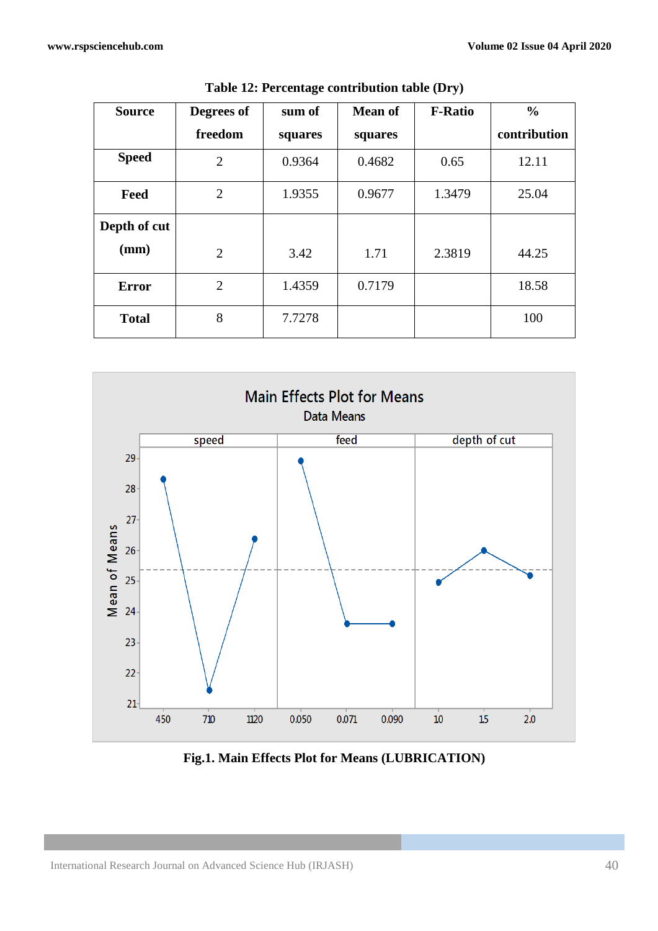| <b>Source</b> | Degrees of     | sum of  | <b>Mean of</b> | <b>F-Ratio</b> | $\frac{0}{0}$ |
|---------------|----------------|---------|----------------|----------------|---------------|
|               | freedom        | squares | squares        |                | contribution  |
| <b>Speed</b>  | $\overline{2}$ | 0.9364  | 0.4682         | 0.65           | 12.11         |
| Feed          | $\overline{2}$ | 1.9355  | 0.9677         | 1.3479         | 25.04         |
| Depth of cut  |                |         |                |                |               |
| (mm)          | $\overline{2}$ | 3.42    | 1.71           | 2.3819         | 44.25         |
| <b>Error</b>  | $\overline{2}$ | 1.4359  | 0.7179         |                | 18.58         |
| <b>Total</b>  | 8              | 7.7278  |                |                | 100           |

**Table 12: Percentage contribution table (Dry)**



**Fig.1. Main Effects Plot for Means (LUBRICATION)**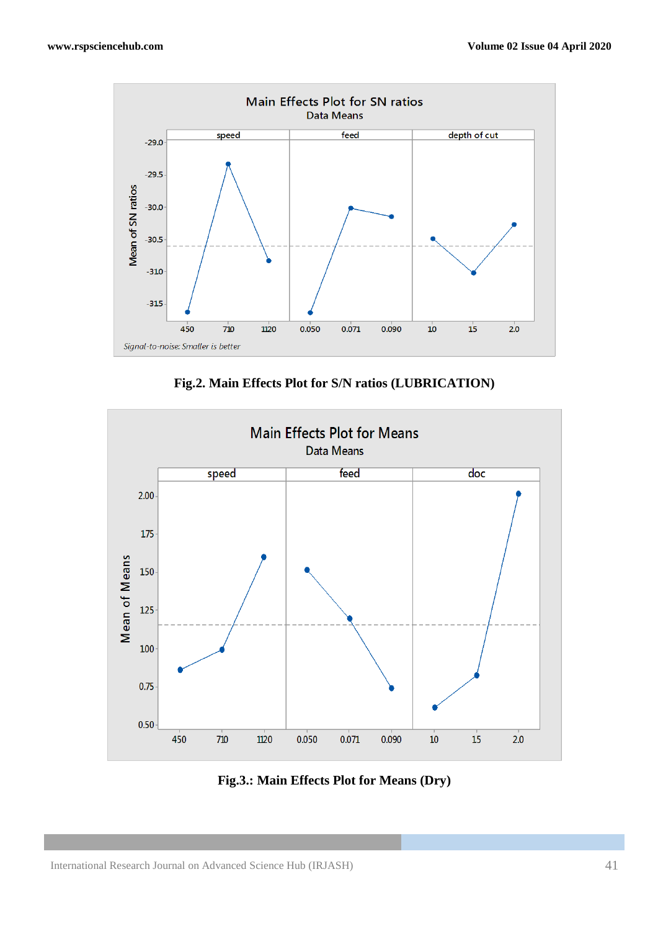

**Fig.2. Main Effects Plot for S/N ratios (LUBRICATION)**



**Fig.3.: Main Effects Plot for Means (Dry)**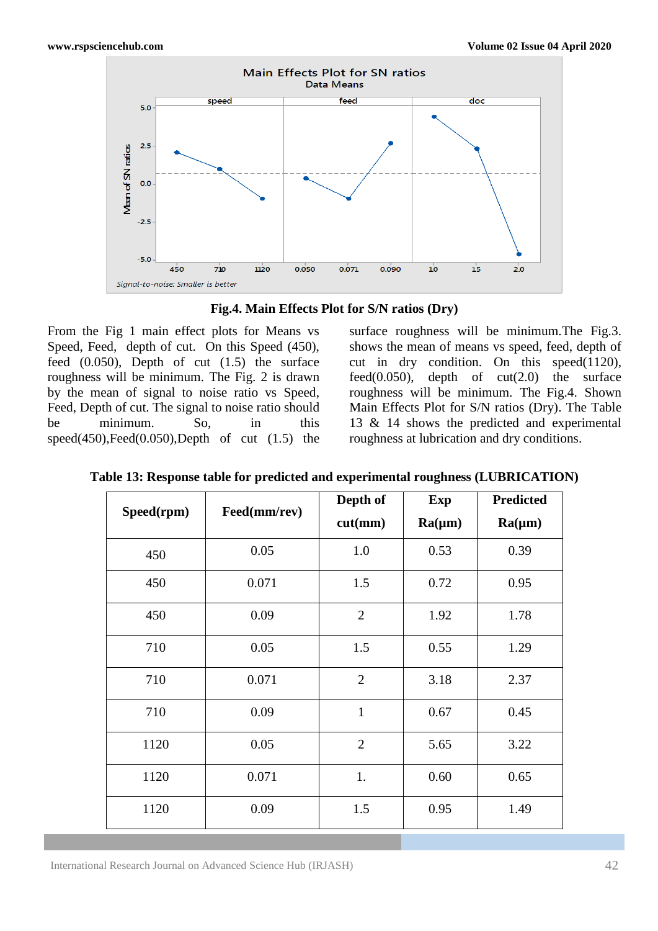

**Fig.4. Main Effects Plot for S/N ratios (Dry)**

From the Fig 1 main effect plots for Means vs Speed, Feed, depth of cut. On this Speed (450), feed  $(0.050)$ , Depth of cut  $(1.5)$  the surface roughness will be minimum. The Fig. 2 is drawn by the mean of signal to noise ratio vs Speed, Feed, Depth of cut. The signal to noise ratio should be minimum. So, in this  $speed(450), Feed(0.050),Depth$  of cut  $(1.5)$  the

surface roughness will be minimum.The Fig.3. shows the mean of means vs speed, feed, depth of cut in dry condition. On this speed(1120), feed $(0.050)$ , depth of cut $(2.0)$  the surface roughness will be minimum. The Fig.4. Shown Main Effects Plot for S/N ratios (Dry). The Table 13 & 14 shows the predicted and experimental roughness at lubrication and dry conditions.

| Speed(rpm) | Feed(mm/rev) | Depth of<br>cut(mm) | Exp<br>$Ra(\mu m)$ | <b>Predicted</b><br>$Ra(\mu m)$ |
|------------|--------------|---------------------|--------------------|---------------------------------|
| 450        | 0.05         | 1.0                 | 0.53               | 0.39                            |
| 450        | 0.071        | 1.5                 | 0.72               | 0.95                            |
| 450        | 0.09         | $\overline{2}$      | 1.92               | 1.78                            |
| 710        | 0.05         | 1.5                 | 0.55               | 1.29                            |
| 710        | 0.071        | $\overline{2}$      | 3.18               | 2.37                            |
| 710        | 0.09         | $\mathbf{1}$        | 0.67               | 0.45                            |
| 1120       | 0.05         | $\overline{2}$      | 5.65               | 3.22                            |
| 1120       | 0.071        | 1.                  | 0.60               | 0.65                            |
| 1120       | 0.09         | 1.5                 | 0.95               | 1.49                            |

**Table 13: Response table for predicted and experimental roughness (LUBRICATION)**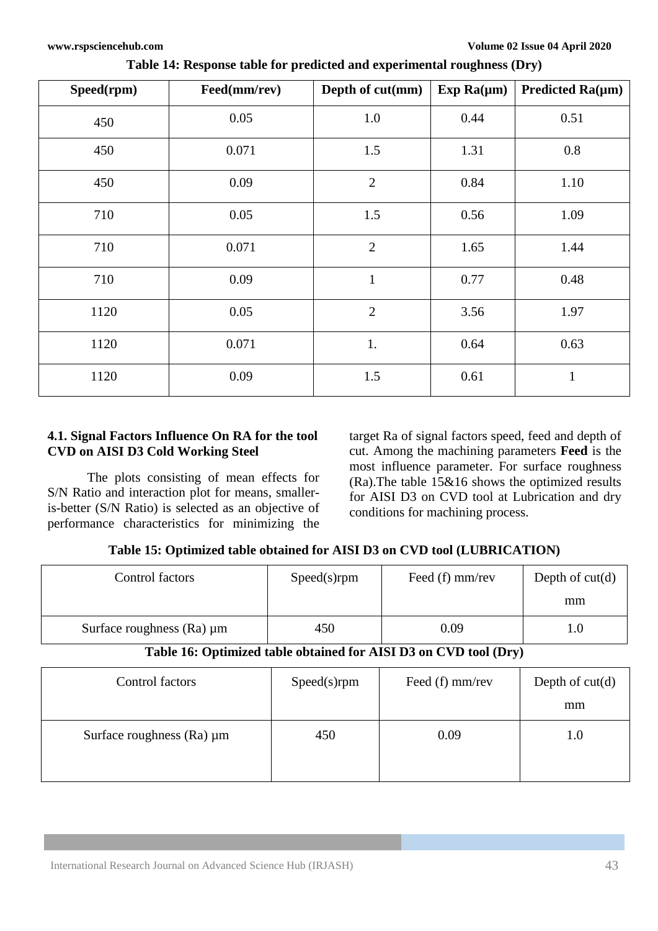| Speed(rpm) | Feed(mm/rev) | Depth of cut(mm) | Exp $Ra(\mu m)$ | Predicted $Ra(\mu m)$ |
|------------|--------------|------------------|-----------------|-----------------------|
| 450        | 0.05         | $1.0\,$          | 0.44            | 0.51                  |
| 450        | 0.071        | 1.5              | 1.31            | 0.8                   |
| 450        | 0.09         | $\mathbf{2}$     | 0.84            | 1.10                  |
| 710        | 0.05         | 1.5              | 0.56            | 1.09                  |
| 710        | 0.071        | $\overline{2}$   | 1.65            | 1.44                  |
| 710        | 0.09         | $\mathbf{1}$     | 0.77            | 0.48                  |
| 1120       | 0.05         | $\overline{2}$   | 3.56            | 1.97                  |
| 1120       | 0.071        | 1.               | 0.64            | 0.63                  |
| 1120       | 0.09         | 1.5              | 0.61            | $\mathbf{1}$          |

**Table 14: Response table for predicted and experimental roughness (Dry)**

# **4.1. Signal Factors Influence On RA for the tool CVD on AISI D3 Cold Working Steel**

The plots consisting of mean effects for S/N Ratio and interaction plot for means, smalleris-better (S/N Ratio) is selected as an objective of performance characteristics for minimizing the target Ra of signal factors speed, feed and depth of cut. Among the machining parameters **Feed** is the most influence parameter. For surface roughness (Ra).The table 15&16 shows the optimized results for AISI D3 on CVD tool at Lubrication and dry conditions for machining process.

# **Table 15: Optimized table obtained for AISI D3 on CVD tool (LUBRICATION)**

| Control factors                                                  | $Speed(s)$ rpm | Feed $(f)$ mm/rev | Depth of $cut(d)$ |  |  |
|------------------------------------------------------------------|----------------|-------------------|-------------------|--|--|
|                                                                  |                |                   | mm                |  |  |
| Surface roughness $(Ra) \mu m$                                   | 450            | 0.09              | l.0               |  |  |
| Table 16: Optimized table obtained for AISI D3 on CVD tool (Dry) |                |                   |                   |  |  |

| Control factors                | Speed(s)rpm | Feed (f) mm/rev | Depth of $cut(d)$<br>mm |
|--------------------------------|-------------|-----------------|-------------------------|
| Surface roughness $(Ra) \mu m$ | 450         | 0.09            | 1.0                     |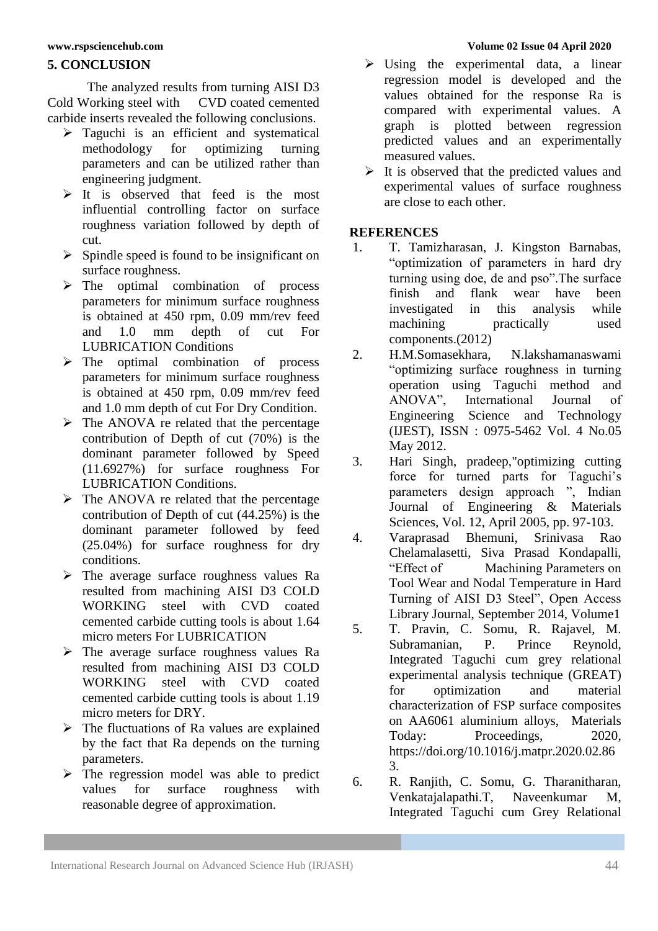### **5. CONCLUSION**

The analyzed results from turning AISI D3<br>
Vorking steel with CVD coated cemented Cold Working steel with carbide inserts revealed the following conclusions.

- $\geq$  Taguchi is an efficient and systematical methodology for optimizing turning methodology for optimizing turning parameters and can be utilized rather than engineering judgment.
- $\triangleright$  It is observed that feed is the most influential controlling factor on surface roughness variation followed by depth of cut.
- $\triangleright$  Spindle speed is found to be insignificant on surface roughness.
- > The optimal combination of process parameters for minimum surface roughness is obtained at 450 rpm, 0.09 mm/rev feed and 1.0 mm depth of cut For LUBRICATION Conditions
- $\triangleright$  The optimal combination of process parameters for minimum surface roughness is obtained at 450 rpm, 0.09 mm/rev feed and 1.0 mm depth of cut For Dry Condition.
- $\triangleright$  The ANOVA re related that the percentage contribution of Depth of cut (70%) is the dominant parameter followed by Speed (11.6927%) for surface roughness For LUBRICATION Conditions.
- $\triangleright$  The ANOVA re related that the percentage contribution of Depth of cut (44.25%) is the dominant parameter followed by feed (25.04%) for surface roughness for dry conditions.
- $\triangleright$  The average surface roughness values Ra resulted from machining AISI D3 COLD WORKING steel with CVD coated cemented carbide cutting tools is about 1.64 micro meters For LUBRICATION
- $\triangleright$  The average surface roughness values Ra resulted from machining AISI D3 COLD WORKING steel with CVD coated cemented carbide cutting tools is about 1.19 micro meters for DRY.
- $\triangleright$  The fluctuations of Ra values are explained by the fact that Ra depends on the turning parameters.
- $\triangleright$  The regression model was able to predict values for surface roughness with reasonable degree of approximation.

#### **[www.rspsciencehub.com](http://www.rspsciencehub.com/) Volume 02 Issue 04 April 2020**

- $\triangleright$  Using the experimental data, a linear regression model is developed and the values obtained for the response Ra is compared with experimental values. A graph is plotted between regression predicted values and an experimentally measured values.
- $\triangleright$  It is observed that the predicted values and experimental values of surface roughness are close to each other.

### **REFERENCES**

- 1. T. Tamizharasan, J. Kingston Barnabas, "optimization of parameters in hard dry turning using doe, de and pso".The surface finish and flank wear have been investigated in this analysis while machining practically used components.(2012)
- 2. H.M.Somasekhara, N.lakshamanaswami "optimizing surface roughness in turning operation using Taguchi method and ANOVA", International Journal of Engineering Science and Technology (IJEST), ISSN : 0975-5462 Vol. 4 No.05 May 2012.
- 3. Hari Singh, pradeep,"optimizing cutting force for turned parts for Taguchi's parameters design approach ", Indian Journal of Engineering & Materials Sciences, Vol. 12, April 2005, pp. 97-103.
- 4. Varaprasad Bhemuni, Srinivasa Rao Chelamalasetti, Siva Prasad Kondapalli, "Effect of Machining Parameters on Tool Wear and Nodal Temperature in Hard Turning of AISI D3 Steel", Open Access Library Journal, September 2014, Volume1
- 5. T. Pravin, C. Somu, R. Rajavel, M. Subramanian, P. Prince Reynold, Integrated Taguchi cum grey relational experimental analysis technique (GREAT) for optimization and material characterization of FSP surface composites on AA6061 aluminium alloys, Materials Today: Proceedings, 2020, [https://doi.org/10.1016/j.matpr.2020.02.86](https://doi.org/10.1016/j.matpr.2020.02.863) [3.](https://doi.org/10.1016/j.matpr.2020.02.863)
- 6. R. Ranjith, C. Somu, G. Tharanitharan, Venkatajalapathi.T, Naveenkumar M, Integrated Taguchi cum Grey Relational